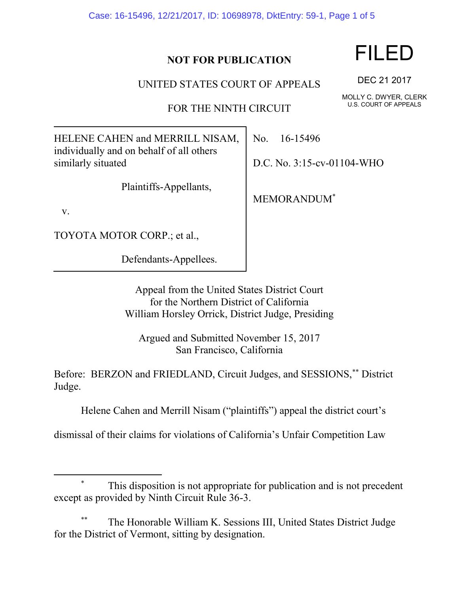Case: 16-15496, 12/21/2017, ID: 10698978, DktEntry: 59-1, Page 1 of 5

### **NOT FOR PUBLICATION**

UNITED STATES COURT OF APPEALS

FOR THE NINTH CIRCUIT

HELENE CAHEN and MERRILL NISAM, individually and on behalf of all others similarly situated

Plaintiffs-Appellants,

v.

TOYOTA MOTOR CORP.; et al.,

Defendants-Appellees.

No. 16-15496

D.C. No. 3:15-cv-01104-WHO

MEMORANDUM\*

Appeal from the United States District Court for the Northern District of California William Horsley Orrick, District Judge, Presiding

Argued and Submitted November 15, 2017 San Francisco, California

Before: BERZON and FRIEDLAND, Circuit Judges, and SESSIONS,\*\* District Judge.

Helene Cahen and Merrill Nisam ("plaintiffs") appeal the district court's

dismissal of their claims for violations of California's Unfair Competition Law

## \* This disposition is not appropriate for publication and is not precedent except as provided by Ninth Circuit Rule 36-3.

The Honorable William K. Sessions III, United States District Judge for the District of Vermont, sitting by designation.

# FILED

DEC 21 2017

MOLLY C. DWYER, CLERK U.S. COURT OF APPEALS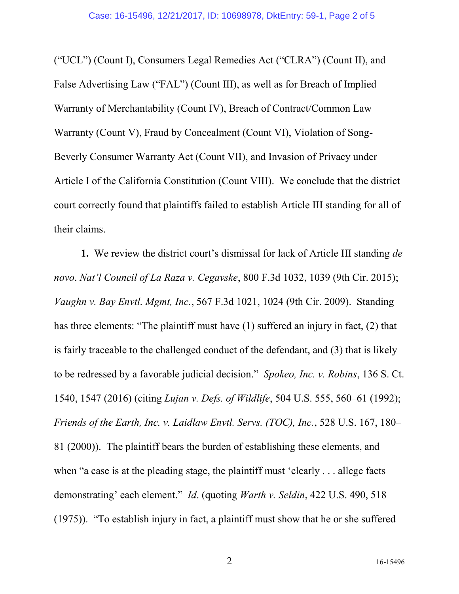("UCL") (Count I), Consumers Legal Remedies Act ("CLRA") (Count II), and False Advertising Law ("FAL") (Count III), as well as for Breach of Implied Warranty of Merchantability (Count IV), Breach of Contract/Common Law Warranty (Count V), Fraud by Concealment (Count VI), Violation of Song-Beverly Consumer Warranty Act (Count VII), and Invasion of Privacy under Article I of the California Constitution (Count VIII). We conclude that the district court correctly found that plaintiffs failed to establish Article III standing for all of their claims.

**1.** We review the district court's dismissal for lack of Article III standing *de novo*. *Nat'l Council of La Raza v. Cegavske*, 800 F.3d 1032, 1039 (9th Cir. 2015); *Vaughn v. Bay Envtl. Mgmt, Inc.*, 567 F.3d 1021, 1024 (9th Cir. 2009). Standing has three elements: "The plaintiff must have (1) suffered an injury in fact, (2) that is fairly traceable to the challenged conduct of the defendant, and (3) that is likely to be redressed by a favorable judicial decision." *Spokeo, Inc. v. Robins*, 136 S. Ct. 1540, 1547 (2016) (citing *Lujan v. Defs. of Wildlife*, 504 U.S. 555, 560–61 (1992); *Friends of the Earth, Inc. v. Laidlaw Envtl. Servs. (TOC), Inc.*, 528 U.S. 167, 180– 81 (2000)). The plaintiff bears the burden of establishing these elements, and when "a case is at the pleading stage, the plaintiff must 'clearly . . . allege facts demonstrating' each element." *Id*. (quoting *Warth v. Seldin*, 422 U.S. 490, 518 (1975)). "To establish injury in fact, a plaintiff must show that he or she suffered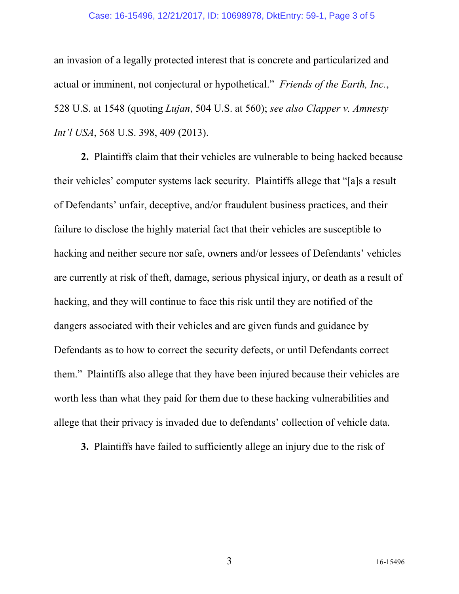#### Case: 16-15496, 12/21/2017, ID: 10698978, DktEntry: 59-1, Page 3 of 5

an invasion of a legally protected interest that is concrete and particularized and actual or imminent, not conjectural or hypothetical." *Friends of the Earth, Inc.*, 528 U.S. at 1548 (quoting *Lujan*, 504 U.S. at 560); *see also Clapper v. Amnesty Int'l USA*, 568 U.S. 398, 409 (2013).

**2.** Plaintiffs claim that their vehicles are vulnerable to being hacked because their vehicles' computer systems lack security. Plaintiffs allege that "[a]s a result of Defendants' unfair, deceptive, and/or fraudulent business practices, and their failure to disclose the highly material fact that their vehicles are susceptible to hacking and neither secure nor safe, owners and/or lessees of Defendants' vehicles are currently at risk of theft, damage, serious physical injury, or death as a result of hacking, and they will continue to face this risk until they are notified of the dangers associated with their vehicles and are given funds and guidance by Defendants as to how to correct the security defects, or until Defendants correct them." Plaintiffs also allege that they have been injured because their vehicles are worth less than what they paid for them due to these hacking vulnerabilities and allege that their privacy is invaded due to defendants' collection of vehicle data.

**3.** Plaintiffs have failed to sufficiently allege an injury due to the risk of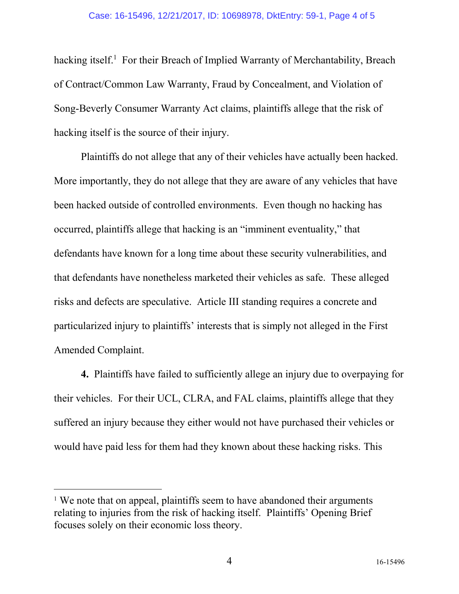hacking itself.<sup>1</sup> For their Breach of Implied Warranty of Merchantability, Breach of Contract/Common Law Warranty, Fraud by Concealment, and Violation of Song-Beverly Consumer Warranty Act claims, plaintiffs allege that the risk of hacking itself is the source of their injury.

Plaintiffs do not allege that any of their vehicles have actually been hacked. More importantly, they do not allege that they are aware of any vehicles that have been hacked outside of controlled environments. Even though no hacking has occurred, plaintiffs allege that hacking is an "imminent eventuality," that defendants have known for a long time about these security vulnerabilities, and that defendants have nonetheless marketed their vehicles as safe. These alleged risks and defects are speculative. Article III standing requires a concrete and particularized injury to plaintiffs' interests that is simply not alleged in the First Amended Complaint.

**4.** Plaintiffs have failed to sufficiently allege an injury due to overpaying for their vehicles. For their UCL, CLRA, and FAL claims, plaintiffs allege that they suffered an injury because they either would not have purchased their vehicles or would have paid less for them had they known about these hacking risks. This

<sup>&</sup>lt;sup>1</sup> We note that on appeal, plaintiffs seem to have abandoned their arguments relating to injuries from the risk of hacking itself. Plaintiffs' Opening Brief focuses solely on their economic loss theory.